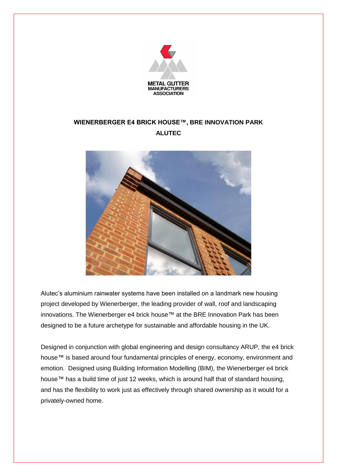

## **WIENERBERGER E4 BRICK HOUSE™, BRE INNOVATION PARK ALUTEC**



Alutec's aluminium rainwater systems have been installed on a landmark new housing project developed by Wienerberger, the leading provider of wall, roof and landscaping innovations. The Wienerberger e4 brick house™ at the BRE Innovation Park has been designed to be a future archetype for sustainable and affordable housing in the UK.

Designed in conjunction with global engineering and design consultancy ARUP, the e4 brick house™ is based around four fundamental principles of energy, economy, environment and emotion. Designed using Building Information Modelling (BIM), the Wienerberger e4 brick house™ has a build time of just 12 weeks, which is around half that of standard housing, and has the flexibility to work just as effectively through shared ownership as it would for a privately-owned home.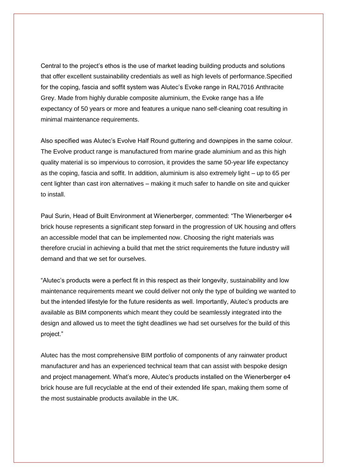Central to the project's ethos is the use of market leading building products and solutions that offer excellent sustainability credentials as well as high levels of performance.Specified for the coping, fascia and soffit system was Alutec's Evoke range in RAL7016 Anthracite Grey. Made from highly durable composite aluminium, the Evoke range has a life expectancy of 50 years or more and features a unique nano self-cleaning coat resulting in minimal maintenance requirements.

Also specified was Alutec's Evolve Half Round guttering and downpipes in the same colour. The Evolve product range is manufactured from marine grade aluminium and as this high quality material is so impervious to corrosion, it provides the same 50-year life expectancy as the coping, fascia and soffit. In addition, aluminium is also extremely light – up to 65 per cent lighter than cast iron alternatives – making it much safer to handle on site and quicker to install.

Paul Surin, Head of Built Environment at Wienerberger, commented: "The Wienerberger e4 brick house represents a significant step forward in the progression of UK housing and offers an accessible model that can be implemented now. Choosing the right materials was therefore crucial in achieving a build that met the strict requirements the future industry will demand and that we set for ourselves.

"Alutec's products were a perfect fit in this respect as their longevity, sustainability and low maintenance requirements meant we could deliver not only the type of building we wanted to but the intended lifestyle for the future residents as well. Importantly, Alutec's products are available as BIM components which meant they could be seamlessly integrated into the design and allowed us to meet the tight deadlines we had set ourselves for the build of this project."

Alutec has the most comprehensive BIM portfolio of components of any rainwater product manufacturer and has an experienced technical team that can assist with bespoke design and project management. What's more, Alutec's products installed on the Wienerberger e4 brick house are full recyclable at the end of their extended life span, making them some of the most sustainable products available in the UK.